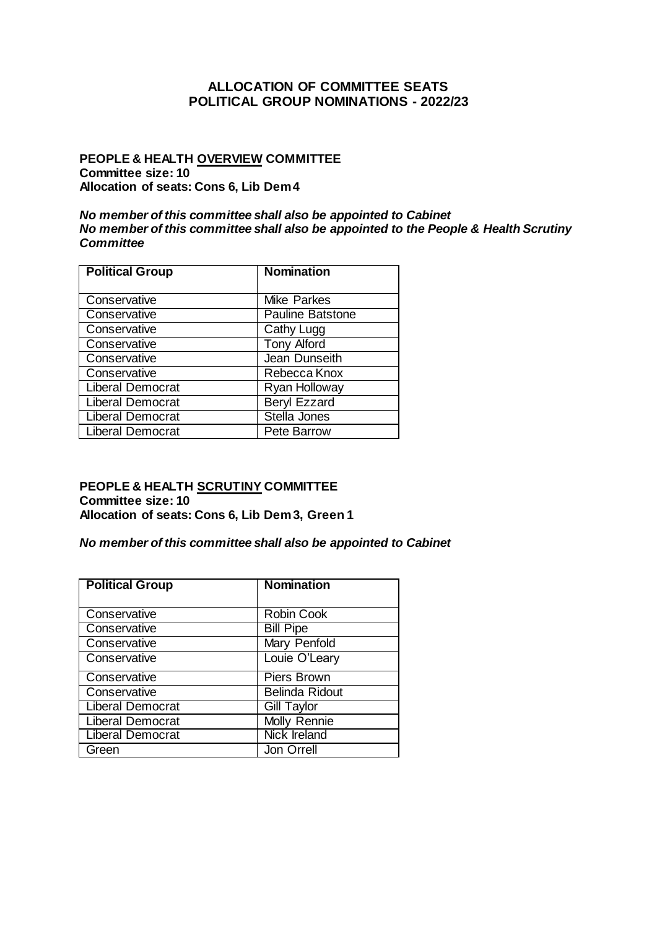## **ALLOCATION OF COMMITTEE SEATS POLITICAL GROUP NOMINATIONS - 2022/23**

## **PEOPLE & HEALTH OVERVIEW COMMITTEE Committee size: 10 Allocation of seats: Cons 6, Lib Dem 4**

### *No member of this committee shall also be appointed to Cabinet No member of this committee shall also be appointed to the People & Health Scrutiny Committee*

| <b>Political Group</b>  | <b>Nomination</b>       |
|-------------------------|-------------------------|
|                         |                         |
| Conservative            | <b>Mike Parkes</b>      |
| Conservative            | <b>Pauline Batstone</b> |
| Conservative            | Cathy Lugg              |
| Conservative            | <b>Tony Alford</b>      |
| Conservative            | Jean Dunseith           |
| Conservative            | Rebecca Knox            |
| <b>Liberal Democrat</b> | Ryan Holloway           |
| <b>Liberal Democrat</b> | <b>Beryl Ezzard</b>     |
| <b>Liberal Democrat</b> | Stella Jones            |
| <b>Liberal Democrat</b> | Pete Barrow             |

### **PEOPLE & HEALTH SCRUTINY COMMITTEE Committee size: 10 Allocation of seats: Cons 6, Lib Dem 3, Green 1**

## *No member of this committee shall also be appointed to Cabinet*

| <b>Political Group</b>  | <b>Nomination</b>     |
|-------------------------|-----------------------|
|                         |                       |
| Conservative            | Robin Cook            |
| Conservative            | <b>Bill Pipe</b>      |
| Conservative            | Mary Penfold          |
| Conservative            | Louie O'Leary         |
| Conservative            | <b>Piers Brown</b>    |
| Conservative            | <b>Belinda Ridout</b> |
| <b>Liberal Democrat</b> | <b>Gill Taylor</b>    |
| <b>Liberal Democrat</b> | Molly Rennie          |
| <b>Liberal Democrat</b> | Nick Ireland          |
| Green                   | Jon Orrell            |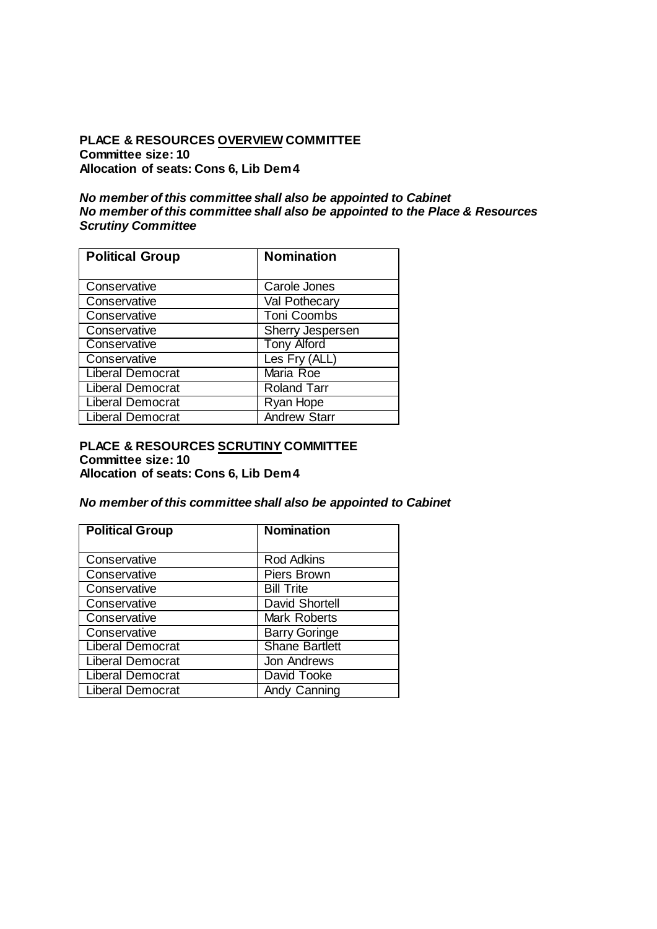## **PLACE & RESOURCES OVERVIEW COMMITTEE Committee size: 10 Allocation of seats: Cons 6, Lib Dem 4**

### *No member of this committee shall also be appointed to Cabinet No member of this committee shall also be appointed to the Place & Resources Scrutiny Committee*

| <b>Political Group</b>  | <b>Nomination</b>   |
|-------------------------|---------------------|
| Conservative            | Carole Jones        |
| Conservative            | Val Pothecary       |
| Conservative            | <b>Toni Coombs</b>  |
| Conservative            | Sherry Jespersen    |
| Conservative            | <b>Tony Alford</b>  |
| Conservative            | Les Fry (ALL)       |
| <b>Liberal Democrat</b> | Maria Roe           |
| <b>Liberal Democrat</b> | <b>Roland Tarr</b>  |
| <b>Liberal Democrat</b> | Ryan Hope           |
| <b>Liberal Democrat</b> | <b>Andrew Starr</b> |

### **PLACE & RESOURCES SCRUTINY COMMITTEE Committee size: 10 Allocation of seats: Cons 6, Lib Dem 4**

## *No member of this committee shall also be appointed to Cabinet*

| <b>Political Group</b>  | <b>Nomination</b>     |
|-------------------------|-----------------------|
|                         |                       |
| Conservative            | <b>Rod Adkins</b>     |
| Conservative            | Piers Brown           |
| Conservative            | <b>Bill Trite</b>     |
| Conservative            | <b>David Shortell</b> |
| Conservative            | Mark Roberts          |
| Conservative            | <b>Barry Goringe</b>  |
| Liberal Democrat        | <b>Shane Bartlett</b> |
| <b>Liberal Democrat</b> | Jon Andrews           |
| <b>Liberal Democrat</b> | David Tooke           |
| <b>Liberal Democrat</b> | Andy Canning          |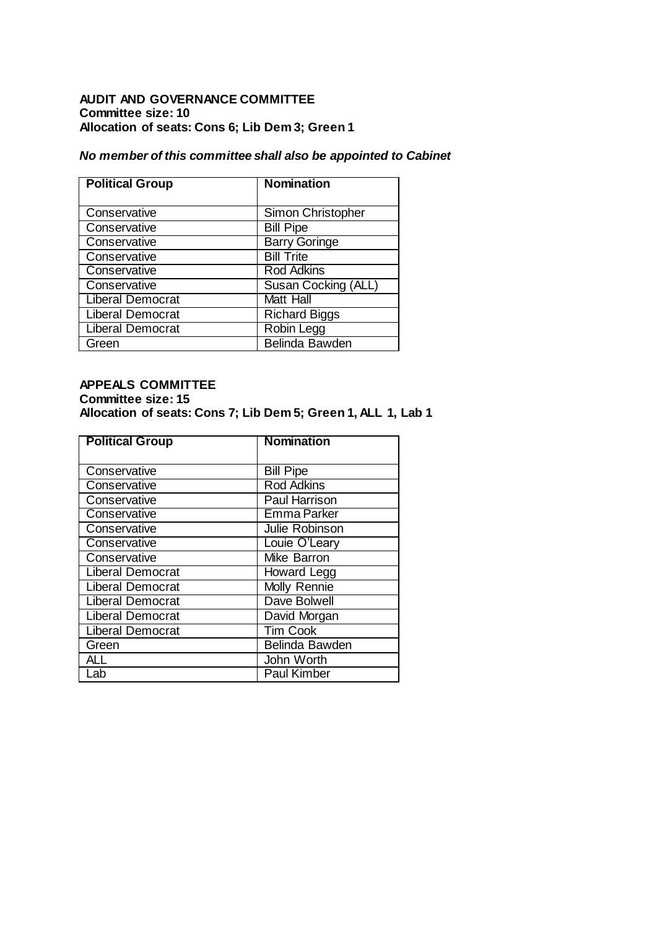## **AUDIT AND GOVERNANCE COMMITTEE Committee size: 10 Allocation of seats: Cons 6; Lib Dem 3; Green 1**

## *No member of this committee shall also be appointed to Cabinet*

| <b>Political Group</b>  | <b>Nomination</b>    |
|-------------------------|----------------------|
| Conservative            | Simon Christopher    |
| Conservative            | <b>Bill Pipe</b>     |
| Conservative            | <b>Barry Goringe</b> |
| Conservative            | <b>Bill Trite</b>    |
| Conservative            | <b>Rod Adkins</b>    |
| Conservative            | Susan Cocking (ALL)  |
| <b>Liberal Democrat</b> | <b>Matt Hall</b>     |
| <b>Liberal Democrat</b> | <b>Richard Biggs</b> |
| <b>Liberal Democrat</b> | Robin Legg           |
| Green                   | Belinda Bawden       |

## **APPEALS COMMITTEE Committee size: 15 Allocation of seats: Cons 7; Lib Dem 5; Green 1, ALL 1, Lab 1**

| <b>Political Group</b>  | <b>Nomination</b>  |
|-------------------------|--------------------|
|                         |                    |
| Conservative            | <b>Bill Pipe</b>   |
| Conservative            | <b>Rod Adkins</b>  |
| Conservative            | Paul Harrison      |
| Conservative            | Emma Parker        |
| Conservative            | Julie Robinson     |
| Conservative            | Louie O'Leary      |
| Conservative            | Mike Barron        |
| <b>Liberal Democrat</b> | Howard Legg        |
| <b>Liberal Democrat</b> | Molly Rennie       |
| <b>Liberal Democrat</b> | Dave Bolwell       |
| <b>Liberal Democrat</b> | David Morgan       |
| <b>Liberal Democrat</b> | <b>Tim Cook</b>    |
| Green                   | Belinda Bawden     |
| AI I                    | John Worth         |
| Lab                     | <b>Paul Kimber</b> |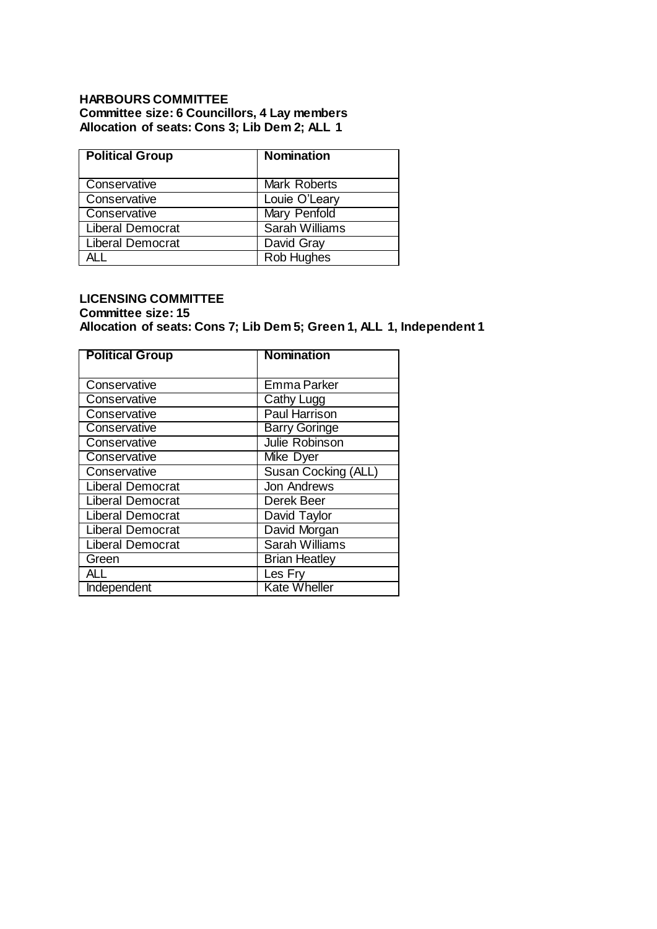## **HARBOURS COMMITTEE Committee size: 6 Councillors, 4 Lay members Allocation of seats: Cons 3; Lib Dem 2; ALL 1**

| <b>Political Group</b>  | <b>Nomination</b>   |
|-------------------------|---------------------|
| Conservative            | Mark Roberts        |
| Conservative            | Louie O'Leary       |
| Conservative            | <b>Mary Penfold</b> |
| <b>Liberal Democrat</b> | Sarah Williams      |
| <b>Liberal Democrat</b> | David Gray          |
|                         | Rob Hughes          |

## **LICENSING COMMITTEE**

## **Committee size: 15 Allocation of seats: Cons 7; Lib Dem 5; Green 1, ALL 1, Independent 1**

| <b>Political Group</b>  | <b>Nomination</b>     |
|-------------------------|-----------------------|
| Conservative            | <b>Emma Parker</b>    |
| Conservative            | Cathy Lugg            |
| Conservative            | Paul Harrison         |
| Conservative            | <b>Barry Goringe</b>  |
| Conservative            | <b>Julie Robinson</b> |
| Conservative            | Mike Dyer             |
| Conservative            | Susan Cocking (ALL)   |
| <b>Liberal Democrat</b> | <b>Jon Andrews</b>    |
| <b>Liberal Democrat</b> | Derek Beer            |
| <b>Liberal Democrat</b> | David Taylor          |
| <b>Liberal Democrat</b> | David Morgan          |
| <b>Liberal Democrat</b> | Sarah Williams        |
| Green                   | <b>Brian Heatley</b>  |
| AII                     | Les Fry               |
| Independent             | <b>Kate Wheller</b>   |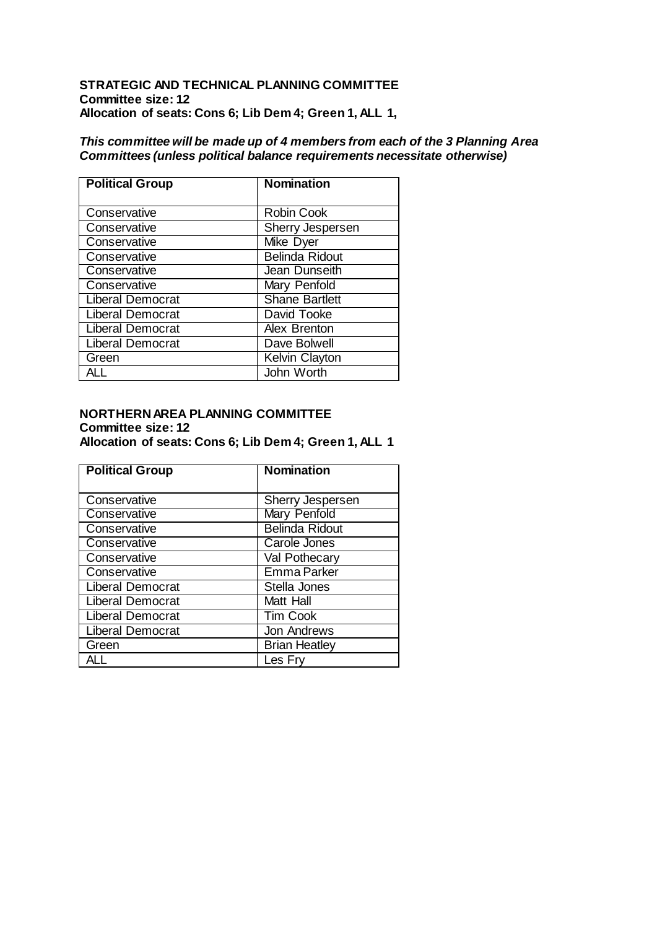## **STRATEGIC AND TECHNICAL PLANNING COMMITTEE Committee size: 12 Allocation of seats: Cons 6; Lib Dem 4; Green 1, ALL 1,**

## *This committee will be made up of 4 members from each of the 3 Planning Area Committees (unless political balance requirements necessitate otherwise)*

| <b>Political Group</b>  | <b>Nomination</b>     |
|-------------------------|-----------------------|
| Conservative            | <b>Robin Cook</b>     |
| Conservative            | Sherry Jespersen      |
| Conservative            | Mike Dyer             |
| Conservative            | <b>Belinda Ridout</b> |
| Conservative            | Jean Dunseith         |
| Conservative            | Mary Penfold          |
| <b>Liberal Democrat</b> | <b>Shane Bartlett</b> |
| <b>Liberal Democrat</b> | David Tooke           |
| <b>Liberal Democrat</b> | Alex Brenton          |
| <b>Liberal Democrat</b> | Dave Bolwell          |
| Green                   | <b>Kelvin Clayton</b> |
|                         | John Worth            |

#### **NORTHERN AREA PLANNING COMMITTEE Committee size: 12 Allocation of seats: Cons 6; Lib Dem 4; Green 1, ALL 1**

| <b>Political Group</b>  | <b>Nomination</b>     |
|-------------------------|-----------------------|
| Conservative            | Sherry Jespersen      |
| Conservative            | <b>Mary Penfold</b>   |
| Conservative            | <b>Belinda Ridout</b> |
| Conservative            | Carole Jones          |
| Conservative            | Val Pothecary         |
| Conservative            | <b>Emma Parker</b>    |
| <b>Liberal Democrat</b> | Stella Jones          |
| Liberal Democrat        | Matt Hall             |
| <b>Liberal Democrat</b> | <b>Tim Cook</b>       |
| <b>Liberal Democrat</b> | Jon Andrews           |
| Green                   | <b>Brian Heatley</b>  |
|                         | Les Fry               |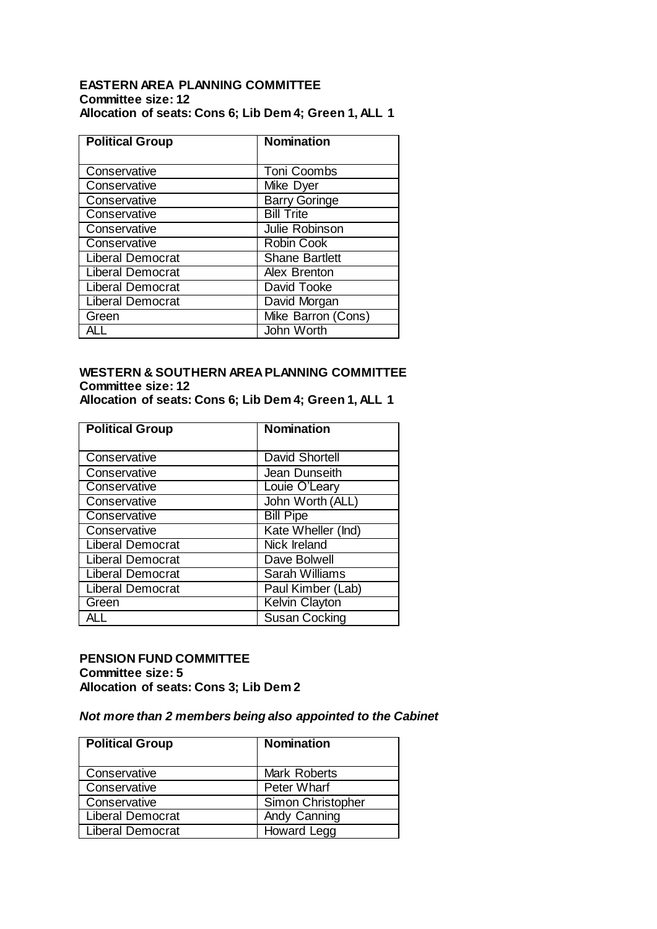## **EASTERN AREA PLANNING COMMITTEE Committee size: 12 Allocation of seats: Cons 6; Lib Dem 4; Green 1, ALL 1**

| <b>Political Group</b>  | <b>Nomination</b>     |
|-------------------------|-----------------------|
|                         |                       |
| Conservative            | <b>Toni Coombs</b>    |
| Conservative            | Mike Dyer             |
| Conservative            | <b>Barry Goringe</b>  |
| Conservative            | <b>Bill Trite</b>     |
| Conservative            | Julie Robinson        |
| Conservative            | <b>Robin Cook</b>     |
| <b>Liberal Democrat</b> | <b>Shane Bartlett</b> |
| <b>Liberal Democrat</b> | Alex Brenton          |
| <b>Liberal Democrat</b> | David Tooke           |
| <b>Liberal Democrat</b> | David Morgan          |
| Green                   | Mike Barron (Cons)    |
|                         | John Worth            |

# **WESTERN & SOUTHERN AREA PLANNING COMMITTEE Committee size: 12**

**Allocation of seats: Cons 6; Lib Dem 4; Green 1, ALL 1**

| <b>Political Group</b>  | <b>Nomination</b>     |
|-------------------------|-----------------------|
| Conservative            | <b>David Shortell</b> |
| Conservative            | Jean Dunseith         |
| Conservative            | Louie O'Leary         |
| Conservative            | John Worth (ALL)      |
| Conservative            | <b>Bill Pipe</b>      |
| Conservative            | Kate Wheller (Ind)    |
| Liberal Democrat        | Nick Ireland          |
| <b>Liberal Democrat</b> | Dave Bolwell          |
| Liberal Democrat        | <b>Sarah Williams</b> |
| <b>Liberal Democrat</b> | Paul Kimber (Lab)     |
| Green                   | <b>Kelvin Clayton</b> |
|                         | <b>Susan Cocking</b>  |

## **PENSION FUND COMMITTEE Committee size: 5 Allocation of seats: Cons 3; Lib Dem 2**

## *Not more than 2 members being also appointed to the Cabinet*

| <b>Political Group</b>  | <b>Nomination</b> |
|-------------------------|-------------------|
| Conservative            | Mark Roberts      |
| Conservative            | Peter Wharf       |
| Conservative            | Simon Christopher |
| <b>Liberal Democrat</b> | Andy Canning      |
| <b>Liberal Democrat</b> | Howard Legg       |